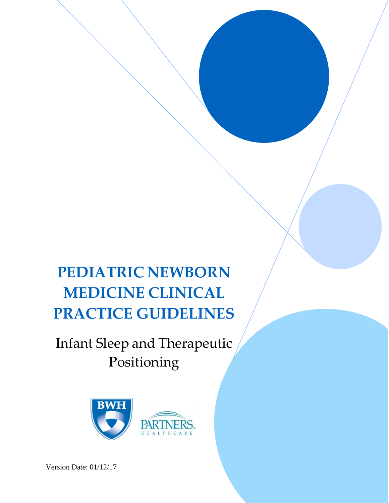# **PEDIATRIC NEWBORN MEDICINE CLINICAL PRACTICE GUIDELINES**

## Infant Sleep and Therapeutic Positioning



Version Date: 01/12/17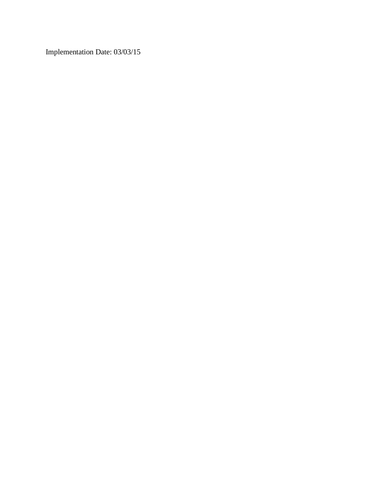Implementation Date: 03/03/15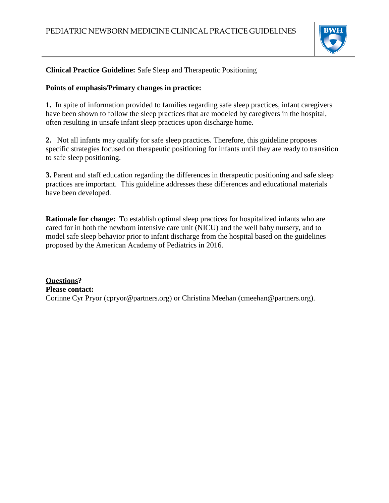

#### **Clinical Practice Guideline:** Safe Sleep and Therapeutic Positioning

#### **Points of emphasis/Primary changes in practice:**

**1.** In spite of information provided to families regarding safe sleep practices, infant caregivers have been shown to follow the sleep practices that are modeled by caregivers in the hospital, often resulting in unsafe infant sleep practices upon discharge home.

**2.** Not all infants may qualify for safe sleep practices. Therefore, this guideline proposes specific strategies focused on therapeutic positioning for infants until they are ready to transition to safe sleep positioning.

**3.** Parent and staff education regarding the differences in therapeutic positioning and safe sleep practices are important. This guideline addresses these differences and educational materials have been developed.

**Rationale for change:** To establish optimal sleep practices for hospitalized infants who are cared for in both the newborn intensive care unit (NICU) and the well baby nursery, and to model safe sleep behavior prior to infant discharge from the hospital based on the guidelines proposed by the American Academy of Pediatrics in 2016.

**Questions? Please contact:** Corinne Cyr Pryor (cpryor@partners.org) or Christina Meehan (cmeehan@partners.org).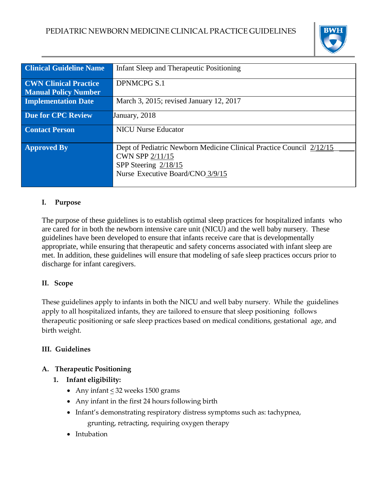

| <b>Clinical Guideline Name</b>                              | Infant Sleep and Therapeutic Positioning                                                                                                                     |
|-------------------------------------------------------------|--------------------------------------------------------------------------------------------------------------------------------------------------------------|
| <b>CWN Clinical Practice</b><br><b>Manual Policy Number</b> | <b>DPNMCPG S.1</b>                                                                                                                                           |
| <b>Implementation Date</b>                                  | March 3, 2015; revised January 12, 2017                                                                                                                      |
| Due for CPC Review                                          | January, 2018                                                                                                                                                |
| <b>Contact Person</b>                                       | <b>NICU Nurse Educator</b>                                                                                                                                   |
| <b>Approved By</b>                                          | Dept of Pediatric Newborn Medicine Clinical Practice Council 2/12/15<br><b>CWN SPP 2/11/15</b><br>SPP Steering $2/18/15$<br>Nurse Executive Board/CNO 3/9/15 |

#### **I. Purpose**

The purpose of these guidelines is to establish optimal sleep practices for hospitalized infants who are cared for in both the newborn intensive care unit (NICU) and the well baby nursery. These guidelines have been developed to ensure that infants receive care that is developmentally appropriate, while ensuring that therapeutic and safety concerns associated with infant sleep are met. In addition, these guidelines will ensure that modeling of safe sleep practices occurs prior to discharge for infant caregivers.

#### **II. Scope**

These guidelines apply to infants in both the NICU and well baby nursery. While the guidelines apply to all hospitalized infants, they are tailored to ensure that sleep positioning follows therapeutic positioning or safe sleep practices based on medical conditions, gestational age, and birth weight.

#### **III. Guidelines**

#### **A. Therapeutic Positioning**

- **1. Infant eligibility:**
	- Any infant  $\leq$  32 weeks 1500 grams
	- Any infant in the first 24 hours following birth
	- Infant's demonstrating respiratory distress symptoms such as: tachypnea, grunting, retracting, requiring oxygen therapy
	- Intubation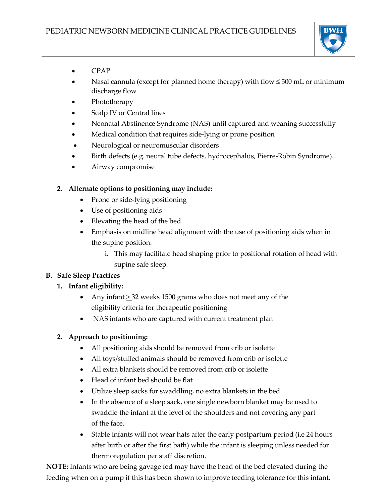

- CPAP
- Nasal cannula (except for planned home therapy) with flow ≤ 500 mL or minimum discharge flow
- Phototherapy
- Scalp IV or Central lines
- Neonatal Abstinence Syndrome (NAS) until captured and weaning successfully
- Medical condition that requires side-lying or prone position
- Neurological or neuromuscular disorders
- Birth defects (e.g. neural tube defects, hydrocephalus, Pierre-Robin Syndrome).
- Airway compromise

#### **2. Alternate options to positioning may include:**

- Prone or side-lying positioning
- Use of positioning aids
- Elevating the head of the bed
- Emphasis on midline head alignment with the use of positioning aids when in the supine position.
	- i. This may facilitate head shaping prior to positional rotation of head with supine safe sleep.

#### **B. Safe Sleep Practices**

#### **1. Infant eligibility:**

- Any infant > 32 weeks 1500 grams who does not meet any of the eligibility criteria for therapeutic positioning
- NAS infants who are captured with current treatment plan

#### **2. Approach to positioning:**

- All positioning aids should be removed from crib or isolette
- All toys/stuffed animals should be removed from crib or isolette
- All extra blankets should be removed from crib or isolette
- Head of infant bed should be flat
- Utilize sleep sacks for swaddling, no extra blankets in the bed
- In the absence of a sleep sack, one single newborn blanket may be used to swaddle the infant at the level of the shoulders and not covering any part of the face.
- Stable infants will not wear hats after the early postpartum period (i.e 24 hours after birth or after the first bath) while the infant is sleeping unless needed for thermoregulation per staff discretion.

**NOTE:** Infants who are being gavage fed may have the head of the bed elevated during the feeding when on a pump if this has been shown to improve feeding tolerance for this infant.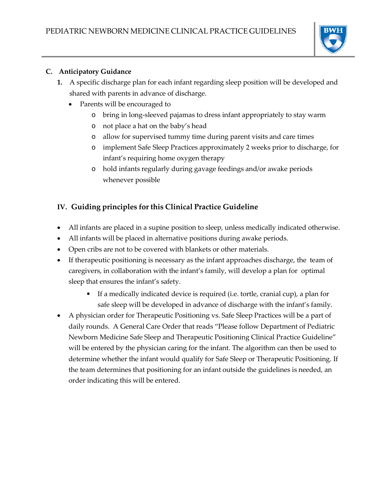

#### **C. Anticipatory Guidance**

- **1.** A specific discharge plan for each infant regarding sleep position will be developed and shared with parents in advance of discharge.
	- Parents will be encouraged to
		- o bring in long-sleeved pajamas to dress infant appropriately to stay warm
		- o not place a hat on the baby's head
		- o allow for supervised tummy time during parent visits and care times
		- o implement Safe Sleep Practices approximately 2 weeks prior to discharge, for infant's requiring home oxygen therapy
		- o hold infants regularly during gavage feedings and/or awake periods whenever possible

### **IV. Guiding principles for this Clinical Practice Guideline**

- All infants are placed in a supine position to sleep, unless medically indicated otherwise.
- All infants will be placed in alternative positions during awake periods.
- Open cribs are not to be covered with blankets or other materials.
- If therapeutic positioning is necessary as the infant approaches discharge, the team of caregivers, in collaboration with the infant's family, will develop a plan for optimal sleep that ensures the infant's safety.
	- If a medically indicated device is required (i.e. tortle, cranial cup), a plan for safe sleep will be developed in advance of discharge with the infant's family.
- A physician order for Therapeutic Positioning vs. Safe Sleep Practices will be a part of daily rounds. A General Care Order that reads "Please follow Department of Pediatric Newborn Medicine Safe Sleep and Therapeutic Positioning Clinical Practice Guideline" will be entered by the physician caring for the infant. The algorithm can then be used to determine whether the infant would qualify for Safe Sleep or Therapeutic Positioning. If the team determines that positioning for an infant outside the guidelines is needed, an order indicating this will be entered.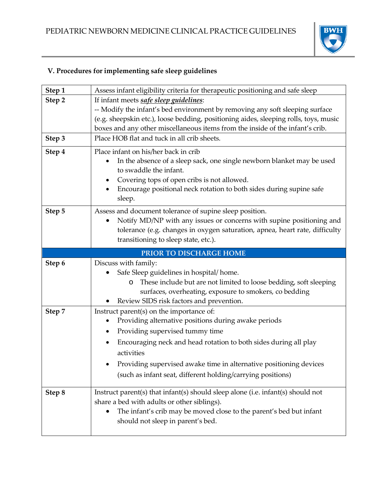

## **V. Procedures for implementing safe sleep guidelines**

| Step 1 | Assess infant eligibility criteria for therapeutic positioning and safe sleep                                                                                                                                                                                                                                                                                   |
|--------|-----------------------------------------------------------------------------------------------------------------------------------------------------------------------------------------------------------------------------------------------------------------------------------------------------------------------------------------------------------------|
| Step 2 | If infant meets safe sleep guidelines:                                                                                                                                                                                                                                                                                                                          |
|        | -- Modify the infant's bed environment by removing any soft sleeping surface                                                                                                                                                                                                                                                                                    |
|        | (e.g. sheepskin etc.), loose bedding, positioning aides, sleeping rolls, toys, music                                                                                                                                                                                                                                                                            |
|        | boxes and any other miscellaneous items from the inside of the infant's crib.                                                                                                                                                                                                                                                                                   |
| Step 3 | Place HOB flat and tuck in all crib sheets.                                                                                                                                                                                                                                                                                                                     |
| Step 4 | Place infant on his/her back in crib<br>In the absence of a sleep sack, one single newborn blanket may be used<br>to swaddle the infant.<br>Covering tops of open cribs is not allowed.<br>Encourage positional neck rotation to both sides during supine safe<br>sleep.                                                                                        |
| Step 5 | Assess and document tolerance of supine sleep position.<br>Notify MD/NP with any issues or concerns with supine positioning and<br>tolerance (e.g. changes in oxygen saturation, apnea, heart rate, difficulty<br>transitioning to sleep state, etc.).                                                                                                          |
|        | PRIOR TO DISCHARGE HOME                                                                                                                                                                                                                                                                                                                                         |
|        |                                                                                                                                                                                                                                                                                                                                                                 |
| Step 6 | Discuss with family:<br>Safe Sleep guidelines in hospital/home.<br>These include but are not limited to loose bedding, soft sleeping<br>O<br>surfaces, overheating, exposure to smokers, co bedding<br>Review SIDS risk factors and prevention.                                                                                                                 |
| Step 7 | Instruct parent(s) on the importance of:<br>Providing alternative positions during awake periods<br>Providing supervised tummy time<br>Encouraging neck and head rotation to both sides during all play<br>٠<br>activities<br>Providing supervised awake time in alternative positioning devices<br>(such as infant seat, different holding/carrying positions) |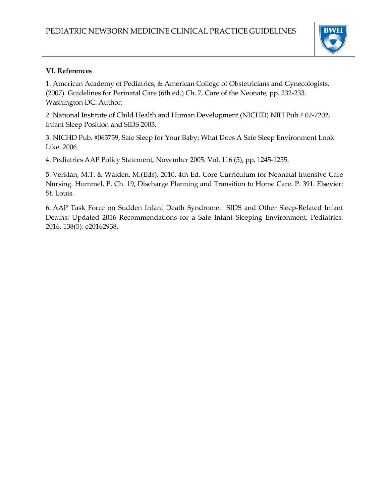

#### **VI. References**

1. American Academy of Pediatrics, & American College of Obstetricians and Gynecologists. (2007). Guidelines for Perinatal Care (6th ed.) Ch. 7, Care of the Neonate, pp. 232-233. Washington DC: Author.

2. National Institute of Child Health and Human Development (NICHD) NIH Pub # 02-7202, Infant Sleep Position and SIDS 2003.

3. NICHD Pub. #065759, Safe Sleep for Your Baby; What Does A Safe Sleep Environment Look Like. 2006

4. Pediatrics AAP Policy Statement, November 2005. Vol. 116 (5), pp. 1245-1255.

5. Verklan, M.T. & Walden, M.(Eds). 2010. 4th Ed. Core Curriculum for Neonatal Intensive Care Nursing. Hummel, P. Ch. 19, Discharge Planning and Transition to Home Care. P. 391. Elsevier: St. Louis.

6. AAP Task Force on Sudden Infant Death Syndrome. SIDS and Other Sleep-Related Infant Deaths: Updated 2016 Recommendations for a Safe Infant Sleeping Environment. Pediatrics. 2016, 138(5): e20162938.